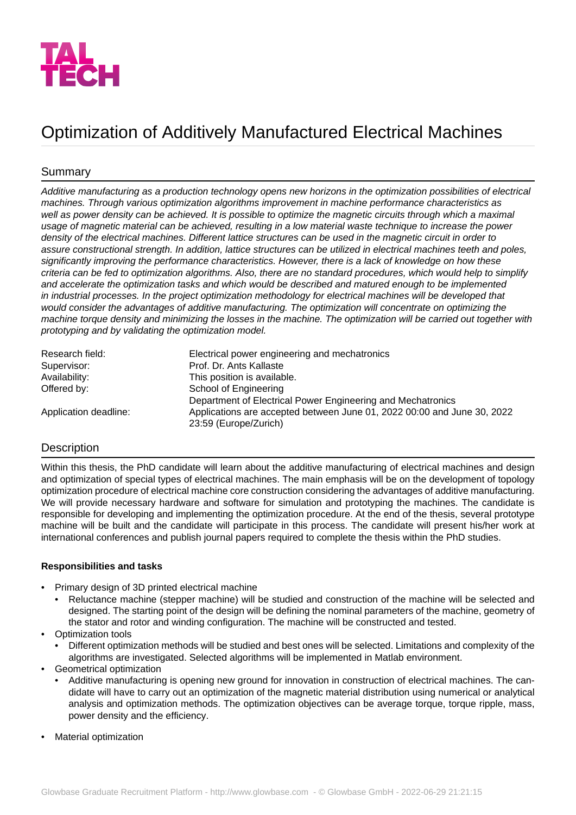

# Optimization of Additively Manufactured Electrical Machines

# Summary

*Additive manufacturing as a production technology opens new horizons in the optimization possibilities of electrical machines. Through various optimization algorithms improvement in machine performance characteristics as well as power density can be achieved. It is possible to optimize the magnetic circuits through which a maximal usage of magnetic material can be achieved, resulting in a low material waste technique to increase the power density of the electrical machines. Different lattice structures can be used in the magnetic circuit in order to assure constructional strength. In addition, lattice structures can be utilized in electrical machines teeth and poles, significantly improving the performance characteristics. However, there is a lack of knowledge on how these criteria can be fed to optimization algorithms. Also, there are no standard procedures, which would help to simplify and accelerate the optimization tasks and which would be described and matured enough to be implemented in industrial processes. In the project optimization methodology for electrical machines will be developed that would consider the advantages of additive manufacturing. The optimization will concentrate on optimizing the machine torque density and minimizing the losses in the machine. The optimization will be carried out together with prototyping and by validating the optimization model.*

| Research field:       | Electrical power engineering and mechatronics                           |
|-----------------------|-------------------------------------------------------------------------|
| Supervisor:           | Prof. Dr. Ants Kallaste                                                 |
| Availability:         | This position is available.                                             |
| Offered by:           | School of Engineering                                                   |
|                       | Department of Electrical Power Engineering and Mechatronics             |
| Application deadline: | Applications are accepted between June 01, 2022 00:00 and June 30, 2022 |
|                       | 23:59 (Europe/Zurich)                                                   |

## **Description**

Within this thesis, the PhD candidate will learn about the additive manufacturing of electrical machines and design and optimization of special types of electrical machines. The main emphasis will be on the development of topology optimization procedure of electrical machine core construction considering the advantages of additive manufacturing. We will provide necessary hardware and software for simulation and prototyping the machines. The candidate is responsible for developing and implementing the optimization procedure. At the end of the thesis, several prototype machine will be built and the candidate will participate in this process. The candidate will present his/her work at international conferences and publish journal papers required to complete the thesis within the PhD studies.

#### **Responsibilities and tasks**

- Primary design of 3D printed electrical machine
	- Reluctance machine (stepper machine) will be studied and construction of the machine will be selected and designed. The starting point of the design will be defining the nominal parameters of the machine, geometry of the stator and rotor and winding configuration. The machine will be constructed and tested.
- Optimization tools
	- Different optimization methods will be studied and best ones will be selected. Limitations and complexity of the algorithms are investigated. Selected algorithms will be implemented in Matlab environment.
- Geometrical optimization
	- Additive manufacturing is opening new ground for innovation in construction of electrical machines. The candidate will have to carry out an optimization of the magnetic material distribution using numerical or analytical analysis and optimization methods. The optimization objectives can be average torque, torque ripple, mass, power density and the efficiency.
- Material optimization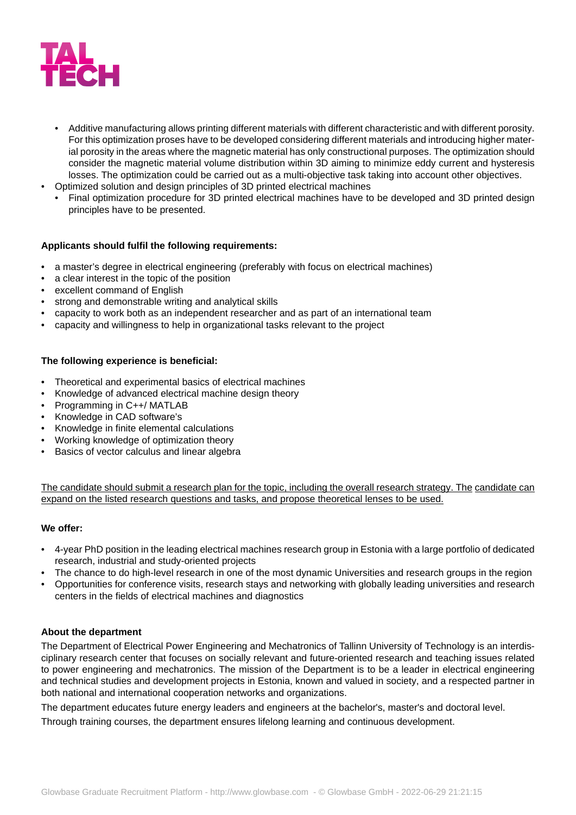

- Additive manufacturing allows printing different materials with different characteristic and with different porosity. For this optimization proses have to be developed considering different materials and introducing higher material porosity in the areas where the magnetic material has only constructional purposes. The optimization should consider the magnetic material volume distribution within 3D aiming to minimize eddy current and hysteresis losses. The optimization could be carried out as a multi-objective task taking into account other objectives.
- Optimized solution and design principles of 3D printed electrical machines
	- Final optimization procedure for 3D printed electrical machines have to be developed and 3D printed design principles have to be presented.

#### **Applicants should fulfil the following requirements:**

- a master's degree in electrical engineering (preferably with focus on electrical machines)
- a clear interest in the topic of the position
- excellent command of English
- strong and demonstrable writing and analytical skills
- capacity to work both as an independent researcher and as part of an international team
- capacity and willingness to help in organizational tasks relevant to the project

#### **The following experience is beneficial:**

- Theoretical and experimental basics of electrical machines
- Knowledge of advanced electrical machine design theory
- Programming in C++/ MATLAB
- Knowledge in CAD software's
- Knowledge in finite elemental calculations
- Working knowledge of optimization theory
- Basics of vector calculus and linear algebra

The candidate should submit a research plan for the topic, including the overall research strategy. The candidate can expand on the listed research questions and tasks, and propose theoretical lenses to be used.

#### **We offer:**

- 4-year PhD position in the leading electrical machines research group in Estonia with a large portfolio of dedicated research, industrial and study-oriented projects
- The chance to do high-level research in one of the most dynamic Universities and research groups in the region
- Opportunities for conference visits, research stays and networking with globally leading universities and research centers in the fields of electrical machines and diagnostics

#### **About the department**

The Department of Electrical Power Engineering and Mechatronics of Tallinn University of Technology is an interdisciplinary research center that focuses on socially relevant and future-oriented research and teaching issues related to power engineering and mechatronics. The mission of the Department is to be a leader in electrical engineering and technical studies and development projects in Estonia, known and valued in society, and a respected partner in both national and international cooperation networks and organizations.

The department educates future energy leaders and engineers at the bachelor's, master's and doctoral level.

Through training courses, the department ensures lifelong learning and continuous development.